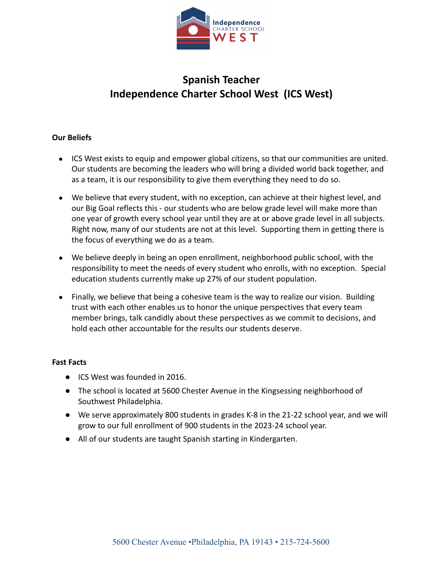

# **Spanish Teacher Independence Charter School West (ICS West)**

## **Our Beliefs**

- ICS West exists to equip and empower global citizens, so that our communities are united. Our students are becoming the leaders who will bring a divided world back together, and as a team, it is our responsibility to give them everything they need to do so.
- We believe that every student, with no exception, can achieve at their highest level, and our Big Goal reflects this - our students who are below grade level will make more than one year of growth every school year until they are at or above grade level in all subjects. Right now, many of our students are not at this level. Supporting them in getting there is the focus of everything we do as a team.
- We believe deeply in being an open enrollment, neighborhood public school, with the responsibility to meet the needs of every student who enrolls, with no exception. Special education students currently make up 27% of our student population.
- Finally, we believe that being a cohesive team is the way to realize our vision. Building trust with each other enables us to honor the unique perspectives that every team member brings, talk candidly about these perspectives as we commit to decisions, and hold each other accountable for the results our students deserve.

### **Fast Facts**

- ICS West was founded in 2016.
- The school is located at 5600 Chester Avenue in the Kingsessing neighborhood of Southwest Philadelphia.
- We serve approximately 800 students in grades K-8 in the 21-22 school year, and we will grow to our full enrollment of 900 students in the 2023-24 school year.
- All of our students are taught Spanish starting in Kindergarten.